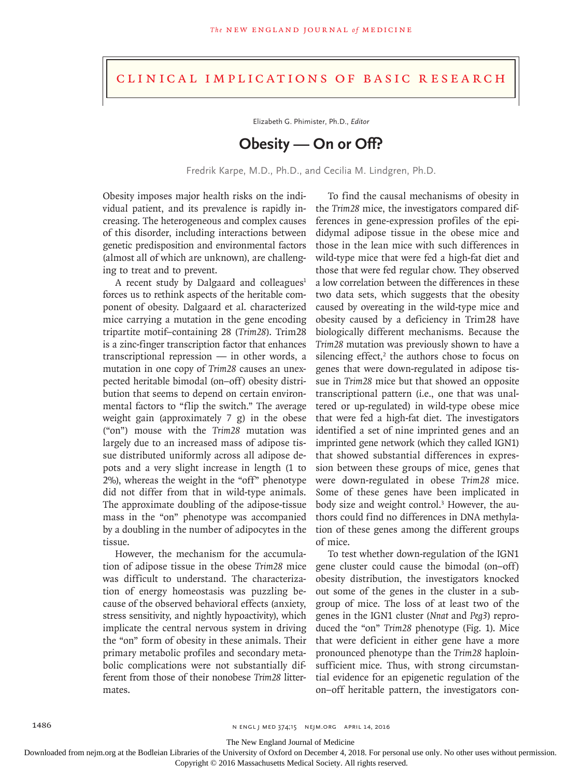## Clinical Implications of Basic Research

Elizabeth G. Phimister, Ph.D., *Editor*

## **Obesity — On or Off?**

Fredrik Karpe, M.D., Ph.D., and Cecilia M. Lindgren, Ph.D.

Obesity imposes major health risks on the individual patient, and its prevalence is rapidly increasing. The heterogeneous and complex causes of this disorder, including interactions between genetic predisposition and environmental factors (almost all of which are unknown), are challenging to treat and to prevent.

A recent study by Dalgaard and colleagues $1$ forces us to rethink aspects of the heritable component of obesity. Dalgaard et al. characterized mice carrying a mutation in the gene encoding tripartite motif–containing 28 (*Trim28*). Trim28 is a zinc-finger transcription factor that enhances transcriptional repression — in other words, a mutation in one copy of *Trim28* causes an unexpected heritable bimodal (on–off) obesity distribution that seems to depend on certain environmental factors to "flip the switch." The average weight gain (approximately 7 g) in the obese ("on") mouse with the *Trim28* mutation was largely due to an increased mass of adipose tissue distributed uniformly across all adipose depots and a very slight increase in length (1 to 2%), whereas the weight in the "off" phenotype did not differ from that in wild-type animals. The approximate doubling of the adipose-tissue mass in the "on" phenotype was accompanied by a doubling in the number of adipocytes in the tissue.

However, the mechanism for the accumulation of adipose tissue in the obese *Trim28* mice was difficult to understand. The characterization of energy homeostasis was puzzling because of the observed behavioral effects (anxiety, stress sensitivity, and nightly hypoactivity), which implicate the central nervous system in driving the "on" form of obesity in these animals. Their primary metabolic profiles and secondary metabolic complications were not substantially different from those of their nonobese *Trim28* littermates.

To find the causal mechanisms of obesity in the *Trim28* mice, the investigators compared differences in gene-expression profiles of the epididymal adipose tissue in the obese mice and those in the lean mice with such differences in wild-type mice that were fed a high-fat diet and those that were fed regular chow. They observed a low correlation between the differences in these two data sets, which suggests that the obesity caused by overeating in the wild-type mice and obesity caused by a deficiency in Trim28 have biologically different mechanisms. Because the *Trim28* mutation was previously shown to have a  $s$ ilencing effect, $2$  the authors chose to focus on genes that were down-regulated in adipose tissue in *Trim28* mice but that showed an opposite transcriptional pattern (i.e., one that was unaltered or up-regulated) in wild-type obese mice that were fed a high-fat diet. The investigators identified a set of nine imprinted genes and an imprinted gene network (which they called IGN1) that showed substantial differences in expression between these groups of mice, genes that were down-regulated in obese *Trim28* mice. Some of these genes have been implicated in body size and weight control.<sup>3</sup> However, the authors could find no differences in DNA methylation of these genes among the different groups of mice.

To test whether down-regulation of the IGN1 gene cluster could cause the bimodal (on–off) obesity distribution, the investigators knocked out some of the genes in the cluster in a subgroup of mice. The loss of at least two of the genes in the IGN1 cluster (*Nnat* and *Peg3*) reproduced the "on" *Trim28* phenotype (Fig. 1). Mice that were deficient in either gene have a more pronounced phenotype than the *Trim28* haploinsufficient mice. Thus, with strong circumstantial evidence for an epigenetic regulation of the on–off heritable pattern, the investigators con-

The New England Journal of Medicine

Downloaded from nejm.org at the Bodleian Libraries of the University of Oxford on December 4, 2018. For personal use only. No other uses without permission.

Copyright © 2016 Massachusetts Medical Society. All rights reserved.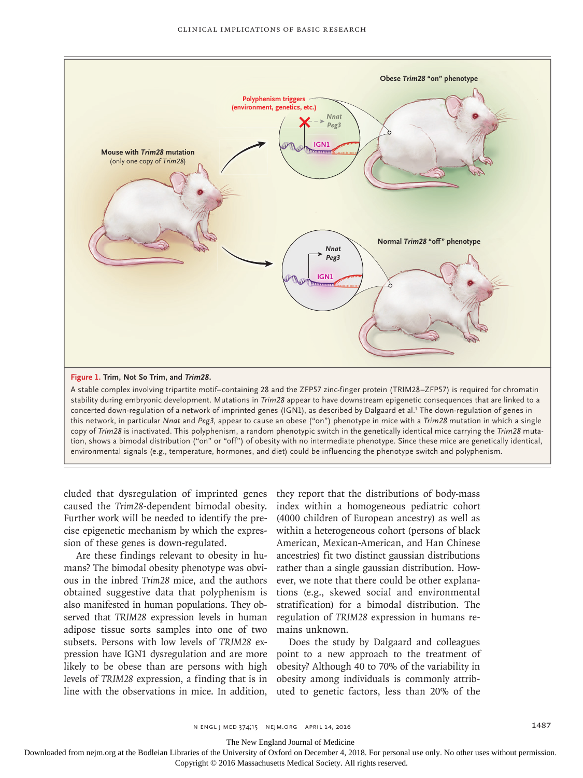



A stable complex involving tripartite motif–containing 28 and the ZFP57 zinc-finger protein (TRIM28–ZFP57) is required for chromatin stability during embryonic development. Mutations in *Trim28* appear to have downstream epigenetic consequences that are linked to a concerted down-regulation of a network of imprinted genes (IGN1), as described by Dalgaard et al.<sup>1</sup> The down-regulation of genes in this network, in particular *Nnat* and *Peg3*, appear to cause an obese ("on") phenotype in mice with a *Trim28* mutation in which a single copy of *Trim28* is inactivated. This polyphenism, a random phenotypic switch in the genetically identical mice carrying the *Trim28* mutation, shows a bimodal distribution ("on" or "off") of obesity with no intermediate phenotype. Since these mice are genetically identical, environmental signals (e.g., temperature, hormones, and diet) could be influencing the phenotype switch and polyphenism.

cluded that dysregulation of imprinted genes they report that the distributions of body-mass caused the *Trim28*-dependent bimodal obesity. Further work will be needed to identify the precise epigenetic mechanism by which the expression of these genes is down-regulated.

Are these findings relevant to obesity in humans? The bimodal obesity phenotype was obvious in the inbred *Trim28* mice, and the authors obtained suggestive data that polyphenism is also manifested in human populations. They observed that *TRIM28* expression levels in human adipose tissue sorts samples into one of two subsets. Persons with low levels of *TRIM28* exlikely to be obese than are persons with high levels of *TRIM28* expression, a finding that is in line with the observations in mice. In addition,

index within a homogeneous pediatric cohort (4000 children of European ancestry) as well as within a heterogeneous cohort (persons of black American, Mexican-American, and Han Chinese ancestries) fit two distinct gaussian distributions rather than a single gaussian distribution. However, we note that there could be other explanations (e.g., skewed social and environmental stratification) for a bimodal distribution. The regulation of *TRIM28* expression in humans remains unknown.

pression have IGN1 dysregulation and are more point to a new approach to the treatment of Does the study by Dalgaard and colleagues obesity? Although 40 to 70% of the variability in obesity among individuals is commonly attributed to genetic factors, less than 20% of the

The New England Journal of Medicine

Downloaded from nejm.org at the Bodleian Libraries of the University of Oxford on December 4, 2018. For personal use only. No other uses without permission.

Copyright © 2016 Massachusetts Medical Society. All rights reserved.